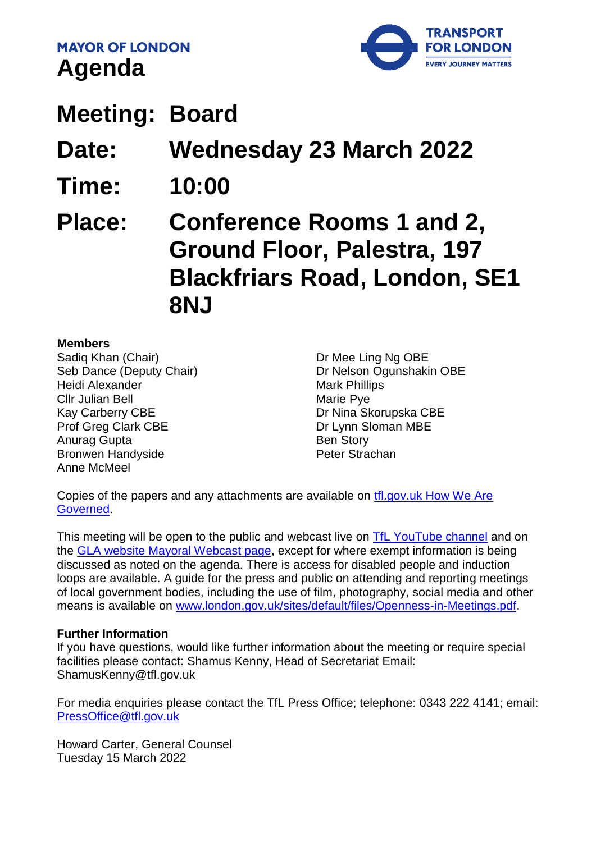**MAYOR OF LONDON Agenda** 



**Meeting: Board**

**Date: Wednesday 23 March 2022**

- **Time: 10:00**
- **Place: Conference Rooms 1 and 2, Ground Floor, Palestra, 197 Blackfriars Road, London, SE1 8NJ**

#### **Members**

Sadiq Khan (Chair) Seb Dance (Deputy Chair) Heidi Alexander Cllr Julian Bell Kay Carberry CBE Prof Greg Clark CBE Anurag Gupta Bronwen Handyside Anne McMeel

Dr Mee Ling Ng OBE Dr Nelson Ogunshakin OBE Mark Phillips Marie Pye Dr Nina Skorupska CBE Dr Lynn Sloman MBE Ben Story Peter Strachan

Copies of the papers and any attachments are available on [tfl.gov.uk How We Are](http://www.tfl.gov.uk/corporate/about-tfl/how-we-work/how-we-are-governed)  [Governed.](http://www.tfl.gov.uk/corporate/about-tfl/how-we-work/how-we-are-governed)

This meeting will be open to the public and webcast live on **TfL YouTube channel** and on the **GLA website Mayoral Webcast page**, except for where exempt information is being discussed as noted on the agenda. There is access for disabled people and induction loops are available. A guide for the press and public on attending and reporting meetings of local government bodies, including the use of film, photography, social media and other means is available on [www.london.gov.uk/sites/default/files/Openness-in-Meetings.pdf.](http://www.london.gov.uk/sites/default/files/Openness-in-Meetings.pdf)

#### **Further Information**

If you have questions, would like further information about the meeting or require special facilities please contact: Shamus Kenny, Head of Secretariat Email: ShamusKenny@tfl.gov.uk

For media enquiries please contact the TfL Press Office; telephone: 0343 222 4141; email: [PressOffice@tfl.gov.uk](mailto:PressOffice@tfl.gov.uk)

Howard Carter, General Counsel Tuesday 15 March 2022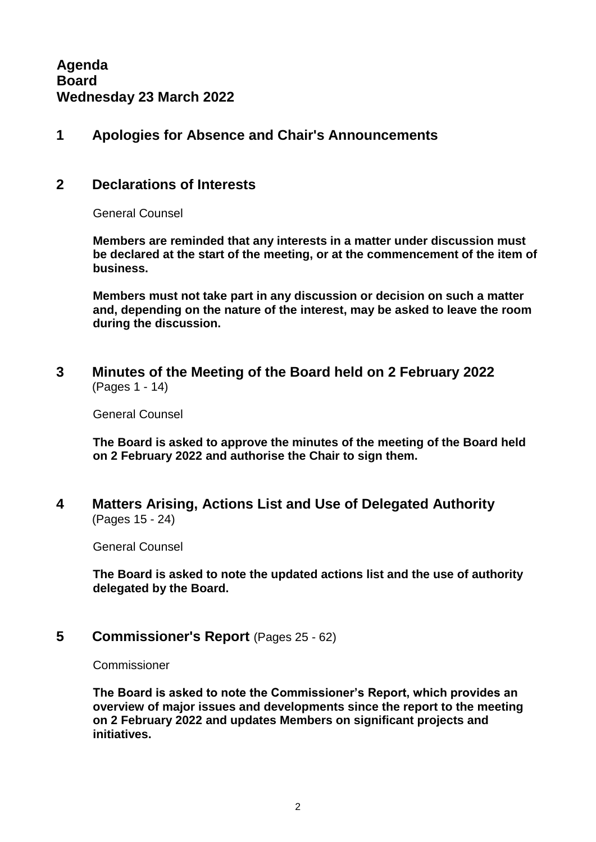### **1 Apologies for Absence and Chair's Announcements**

### **2 Declarations of Interests**

General Counsel

**Members are reminded that any interests in a matter under discussion must be declared at the start of the meeting, or at the commencement of the item of business.** 

**Members must not take part in any discussion or decision on such a matter and, depending on the nature of the interest, may be asked to leave the room during the discussion.**

**3 Minutes of the Meeting of the Board held on 2 February 2022** (Pages 1 - 14)

General Counsel

**The Board is asked to approve the minutes of the meeting of the Board held on 2 February 2022 and authorise the Chair to sign them.**

**4 Matters Arising, Actions List and Use of Delegated Authority** (Pages 15 - 24)

General Counsel

**The Board is asked to note the updated actions list and the use of authority delegated by the Board.**

**5 Commissioner's Report** (Pages 25 - 62)

Commissioner

**The Board is asked to note the Commissioner's Report, which provides an overview of major issues and developments since the report to the meeting on 2 February 2022 and updates Members on significant projects and initiatives.**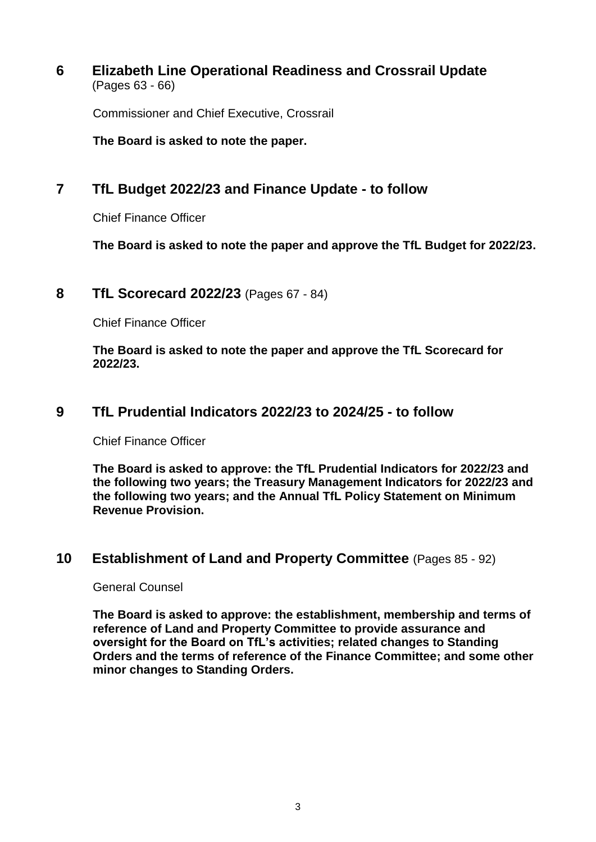**6 Elizabeth Line Operational Readiness and Crossrail Update** (Pages 63 - 66)

Commissioner and Chief Executive, Crossrail

**The Board is asked to note the paper.**

# **7 TfL Budget 2022/23 and Finance Update - to follow**

Chief Finance Officer

**The Board is asked to note the paper and approve the TfL Budget for 2022/23.**

### **8 TfL Scorecard 2022/23** (Pages 67 - 84)

Chief Finance Officer

**The Board is asked to note the paper and approve the TfL Scorecard for 2022/23.**

### **9 TfL Prudential Indicators 2022/23 to 2024/25 - to follow**

Chief Finance Officer

**The Board is asked to approve: the TfL Prudential Indicators for 2022/23 and the following two years; the Treasury Management Indicators for 2022/23 and the following two years; and the Annual TfL Policy Statement on Minimum Revenue Provision.**

### **10 Establishment of Land and Property Committee** (Pages 85 - 92)

#### General Counsel

**The Board is asked to approve: the establishment, membership and terms of reference of Land and Property Committee to provide assurance and oversight for the Board on TfL's activities; related changes to Standing Orders and the terms of reference of the Finance Committee; and some other minor changes to Standing Orders.**